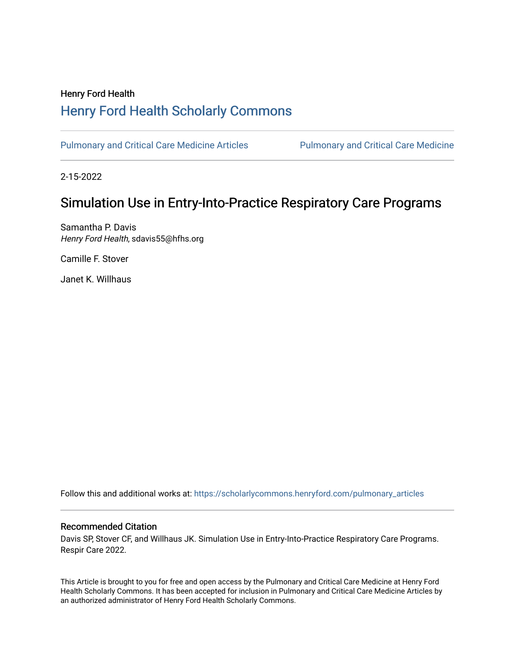# Henry Ford Health [Henry Ford Health Scholarly Commons](https://scholarlycommons.henryford.com/)

[Pulmonary and Critical Care Medicine Articles](https://scholarlycommons.henryford.com/pulmonary_articles) Pulmonary and Critical Care Medicine

2-15-2022

# Simulation Use in Entry-Into-Practice Respiratory Care Programs

Samantha P. Davis Henry Ford Health, sdavis55@hfhs.org

Camille F. Stover

Janet K. Willhaus

Follow this and additional works at: [https://scholarlycommons.henryford.com/pulmonary\\_articles](https://scholarlycommons.henryford.com/pulmonary_articles?utm_source=scholarlycommons.henryford.com%2Fpulmonary_articles%2F140&utm_medium=PDF&utm_campaign=PDFCoverPages)

# Recommended Citation

Davis SP, Stover CF, and Willhaus JK. Simulation Use in Entry-Into-Practice Respiratory Care Programs. Respir Care 2022.

This Article is brought to you for free and open access by the Pulmonary and Critical Care Medicine at Henry Ford Health Scholarly Commons. It has been accepted for inclusion in Pulmonary and Critical Care Medicine Articles by an authorized administrator of Henry Ford Health Scholarly Commons.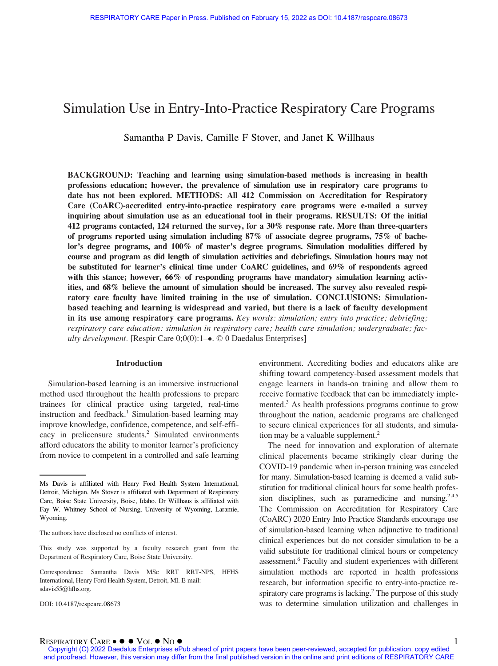# Simulation Use in Entry-Into-Practice Respiratory Care Programs

Samantha P Davis, Camille F Stover, and Janet K Willhaus

BACKGROUND: Teaching and learning using simulation-based methods is increasing in health professions education; however, the prevalence of simulation use in respiratory care programs to date has not been explored. METHODS: All 412 Commission on Accreditation for Respiratory Care (CoARC)-accredited entry-into-practice respiratory care programs were e-mailed a survey inquiring about simulation use as an educational tool in their programs. RESULTS: Of the initial 412 programs contacted, 124 returned the survey, for a 30% response rate. More than three-quarters of programs reported using simulation including 87% of associate degree programs, 75% of bachelor's degree programs, and 100% of master's degree programs. Simulation modalities differed by course and program as did length of simulation activities and debriefings. Simulation hours may not be substituted for learner's clinical time under CoARC guidelines, and 69% of respondents agreed with this stance; however, 66% of responding programs have mandatory simulation learning activities, and 68% believe the amount of simulation should be increased. The survey also revealed respiratory care faculty have limited training in the use of simulation. CONCLUSIONS: Simulationbased teaching and learning is widespread and varied, but there is a lack of faculty development in its use among respiratory care programs. Key words: simulation; entry into practice; debriefing; respiratory care education; simulation in respiratory care; health care simulation; undergraduate; faculty development. [Respir Care  $0;0(0)$ : 1– $\bullet$ . © 0 Daedalus Enterprises]

#### Introduction

Simulation-based learning is an immersive instructional method used throughout the health professions to prepare trainees for clinical practice using targeted, real-time instruction and feedback.<sup>1</sup> Simulation-based learning may improve knowledge, confidence, competence, and self-efficacy in prelicensure students.<sup>2</sup> Simulated environments afford educators the ability to monitor learner's proficiency from novice to competent in a controlled and safe learning

DOI: 10.4187/respcare.08673

environment. Accrediting bodies and educators alike are shifting toward competency-based assessment models that engage learners in hands-on training and allow them to receive formative feedback that can be immediately implemented.<sup>3</sup> As health professions programs continue to grow throughout the nation, academic programs are challenged to secure clinical experiences for all students, and simulation may be a valuable supplement.<sup>2</sup>

The need for innovation and exploration of alternate clinical placements became strikingly clear during the COVID-19 pandemic when in-person training was canceled for many. Simulation-based learning is deemed a valid substitution for traditional clinical hours for some health profession disciplines, such as paramedicine and nursing.<sup>2,4,5</sup> The Commission on Accreditation for Respiratory Care (CoARC) 2020 Entry Into Practice Standards encourage use of simulation-based learning when adjunctive to traditional clinical experiences but do not consider simulation to be a valid substitute for traditional clinical hours or competency assessment.6 Faculty and student experiences with different simulation methods are reported in health professions research, but information specific to entry-into-practice respiratory care programs is lacking.<sup>7</sup> The purpose of this study was to determine simulation utilization and challenges in

Ms Davis is affiliated with Henry Ford Health System International, Detroit, Michigan. Ms Stover is affiliated with Department of Respiratory Care, Boise State University, Boise, Idaho. Dr Willhaus is affiliated with Fay W. Whitney School of Nursing, University of Wyoming, Laramie, Wyoming.

The authors have disclosed no conflicts of interest.

This study was supported by a faculty research grant from the Department of Respiratory Care, Boise State University.

Correspondence: Samantha Davis MSc RRT RRT-NPS, HFHS International, Henry Ford Health System, Detroit, MI. E-mail: [sdavis55@hfhs.org.](mailto:sdavis55@hfhs.org)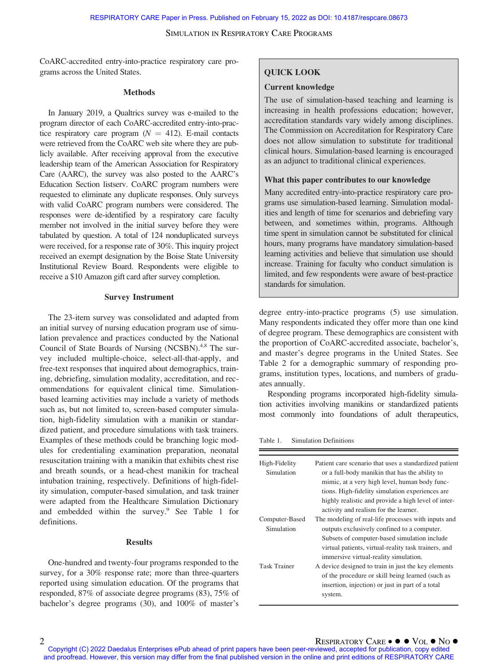CoARC-accredited entry-into-practice respiratory care programs across the United States.

#### **Methods**

In January 2019, a Qualtrics survey was e-mailed to the program director of each CoARC-accredited entry-into-practice respiratory care program  $(N = 412)$ . E-mail contacts were retrieved from the CoARC web site where they are publicly available. After receiving approval from the executive leadership team of the American Association for Respiratory Care (AARC), the survey was also posted to the AARC's Education Section listserv. CoARC program numbers were requested to eliminate any duplicate responses. Only surveys with valid CoARC program numbers were considered. The responses were de-identified by a respiratory care faculty member not involved in the initial survey before they were tabulated by question. A total of 124 nonduplicated surveys were received, for a response rate of 30%. This inquiry project received an exempt designation by the Boise State University Institutional Review Board. Respondents were eligible to receive a \$10 Amazon gift card after survey completion.

#### Survey Instrument

The 23-item survey was consolidated and adapted from an initial survey of nursing education program use of simulation prevalence and practices conducted by the National Council of State Boards of Nursing (NCSBN).<sup>4,8</sup> The survey included multiple-choice, select-all-that-apply, and free-text responses that inquired about demographics, training, debriefing, simulation modality, accreditation, and recommendations for equivalent clinical time. Simulationbased learning activities may include a variety of methods such as, but not limited to, screen-based computer simulation, high-fidelity simulation with a manikin or standardized patient, and procedure simulations with task trainers. Examples of these methods could be branching logic modules for credentialing examination preparation, neonatal resuscitation training with a manikin that exhibits chest rise and breath sounds, or a head-chest manikin for tracheal intubation training, respectively. Definitions of high-fidelity simulation, computer-based simulation, and task trainer were adapted from the Healthcare Simulation Dictionary and embedded within the survey.<sup>9</sup> See Table 1 for definitions.

#### Results

One-hundred and twenty-four programs responded to the survey, for a 30% response rate; more than three-quarters reported using simulation education. Of the programs that responded, 87% of associate degree programs (83), 75% of bachelor's degree programs (30), and 100% of master's

## QUICK LOOK

#### Current knowledge

The use of simulation-based teaching and learning is increasing in health professions education; however, accreditation standards vary widely among disciplines. The Commission on Accreditation for Respiratory Care does not allow simulation to substitute for traditional clinical hours. Simulation-based learning is encouraged as an adjunct to traditional clinical experiences.

#### What this paper contributes to our knowledge

Many accredited entry-into-practice respiratory care programs use simulation-based learning. Simulation modalities and length of time for scenarios and debriefing vary between, and sometimes within, programs. Although time spent in simulation cannot be substituted for clinical hours, many programs have mandatory simulation-based learning activities and believe that simulation use should increase. Training for faculty who conduct simulation is limited, and few respondents were aware of best-practice standards for simulation.

degree entry-into-practice programs (5) use simulation. Many respondents indicated they offer more than one kind of degree program. These demographics are consistent with the proportion of CoARC-accredited associate, bachelor's, and master's degree programs in the United States. See Table 2 for a demographic summary of responding programs, institution types, locations, and numbers of graduates annually.

Responding programs incorporated high-fidelity simulation activities involving manikins or standardized patients most commonly into foundations of adult therapeutics,

Table 1. Simulation Definitions

| High-Fidelity<br>Simulation  | Patient care scenario that uses a standardized patient<br>or a full-body manikin that has the ability to<br>mimic, at a very high level, human body func-<br>tions. High-fidelity simulation experiences are<br>highly realistic and provide a high level of inter-<br>activity and realism for the learner. |
|------------------------------|--------------------------------------------------------------------------------------------------------------------------------------------------------------------------------------------------------------------------------------------------------------------------------------------------------------|
| Computer-Based<br>Simulation | The modeling of real-life processes with inputs and<br>outputs exclusively confined to a computer.<br>Subsets of computer-based simulation include<br>virtual patients, virtual-reality task trainers, and<br>immersive virtual-reality simulation.                                                          |
| <b>Task Trainer</b>          | A device designed to train in just the key elements<br>of the procedure or skill being learned (such as<br>insertion, injection) or just in part of a total<br>system.                                                                                                                                       |

2 RESPIRATORY CARE VOL NO Copyright (C) 2022 Daedalus Enterprises ePub ahead of print papers have been peer-reviewed, accepted for publication, copy edited and proofread. However, this version may differ from the final published version in the online and print editions of RESPIRATORY CARE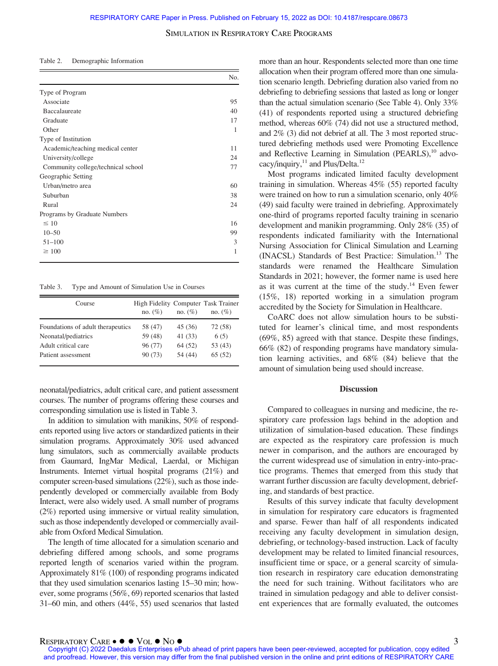| Demographic Information<br>Table 2. |  |
|-------------------------------------|--|
|-------------------------------------|--|

|                                    | No. |
|------------------------------------|-----|
| Type of Program                    |     |
| Associate                          | 95  |
| Baccalaureate                      | 40  |
| Graduate                           | 17  |
| Other                              | 1   |
| Type of Institution                |     |
| Academic/teaching medical center   | 11  |
| University/college                 | 24  |
| Community college/technical school | 77  |
| Geographic Setting                 |     |
| Urban/metro area                   | 60  |
| Suburban                           | 38  |
| Rural                              | 24  |
| Programs by Graduate Numbers       |     |
| $\leq 10$                          | 16  |
| $10 - 50$                          | 99  |
| $51 - 100$                         | 3   |
| $\geq 100$                         | 1   |

Table 3. Type and Amount of Simulation Use in Courses

| Course                            | High Fidelity Computer Task Trainer<br>no. $(\% )$ | no. $(\%)$ | no. $(\%)$ |
|-----------------------------------|----------------------------------------------------|------------|------------|
| Foundations of adult therapeutics | 58 (47)                                            | 45 (36)    | 72 (58)    |
| Neonatal/pediatrics               | 59 (48)                                            | 41 (33)    | 6(5)       |
| Adult critical care               | 96 (77)                                            | 64 (52)    | 53 (43)    |
| Patient assessment                | 90(73)                                             | 54 (44)    | 65(52)     |

neonatal/pediatrics, adult critical care, and patient assessment courses. The number of programs offering these courses and corresponding simulation use is listed in Table 3.

In addition to simulation with manikins, 50% of respondents reported using live actors or standardized patients in their simulation programs. Approximately 30% used advanced lung simulators, such as commercially available products from Gaumard, IngMar Medical, Laerdal, or Michigan Instruments. Internet virtual hospital programs (21%) and computer screen-based simulations (22%), such as those independently developed or commercially available from Body Interact, were also widely used. A small number of programs (2%) reported using immersive or virtual reality simulation, such as those independently developed or commercially available from Oxford Medical Simulation.

The length of time allocated for a simulation scenario and debriefing differed among schools, and some programs reported length of scenarios varied within the program. Approximately 81% (100) of responding programs indicated that they used simulation scenarios lasting 15–30 min; however, some programs (56%, 69) reported scenarios that lasted 31–60 min, and others (44%, 55) used scenarios that lasted more than an hour. Respondents selected more than one time allocation when their program offered more than one simulation scenario length. Debriefing duration also varied from no debriefing to debriefing sessions that lasted as long or longer than the actual simulation scenario (See Table 4). Only 33% (41) of respondents reported using a structured debriefing method, whereas 60% (74) did not use a structured method, and 2% (3) did not debrief at all. The 3 most reported structured debriefing methods used were Promoting Excellence and Reflective Learning in Simulation (PEARLS),<sup>10</sup> advocacy/inquiry, $^{11}$  and Plus/Delta.<sup>12</sup>

Most programs indicated limited faculty development training in simulation. Whereas 45% (55) reported faculty were trained on how to run a simulation scenario, only 40% (49) said faculty were trained in debriefing. Approximately one-third of programs reported faculty training in scenario development and manikin programming. Only 28% (35) of respondents indicated familiarity with the International Nursing Association for Clinical Simulation and Learning (INACSL) Standards of Best Practice: Simulation.13 The standards were renamed the Healthcare Simulation Standards in 2021; however, the former name is used here as it was current at the time of the study.14 Even fewer (15%, 18) reported working in a simulation program accredited by the Society for Simulation in Healthcare.

CoARC does not allow simulation hours to be substituted for learner's clinical time, and most respondents (69%, 85) agreed with that stance. Despite these findings, 66% (82) of responding programs have mandatory simulation learning activities, and 68% (84) believe that the amount of simulation being used should increase.

#### Discussion

Compared to colleagues in nursing and medicine, the respiratory care profession lags behind in the adoption and utilization of simulation-based education. These findings are expected as the respiratory care profession is much newer in comparison, and the authors are encouraged by the current widespread use of simulation in entry-into-practice programs. Themes that emerged from this study that warrant further discussion are faculty development, debriefing, and standards of best practice.

Results of this survey indicate that faculty development in simulation for respiratory care educators is fragmented and sparse. Fewer than half of all respondents indicated receiving any faculty development in simulation design, debriefing, or technology-based instruction. Lack of faculty development may be related to limited financial resources, insufficient time or space, or a general scarcity of simulation research in respiratory care education demonstrating the need for such training. Without facilitators who are trained in simulation pedagogy and able to deliver consistent experiences that are formally evaluated, the outcomes

RESPIRATORY CARE ● ● ● VOL ● NO ●<br>Copyright (C) 2022 Daedalus Enterprises ePub ahead of print papers have been peer-reviewed, accepted for publication, copy edited and proofread. However, this version may differ from the final published version in the online and print editions of RESPIRATORY CARE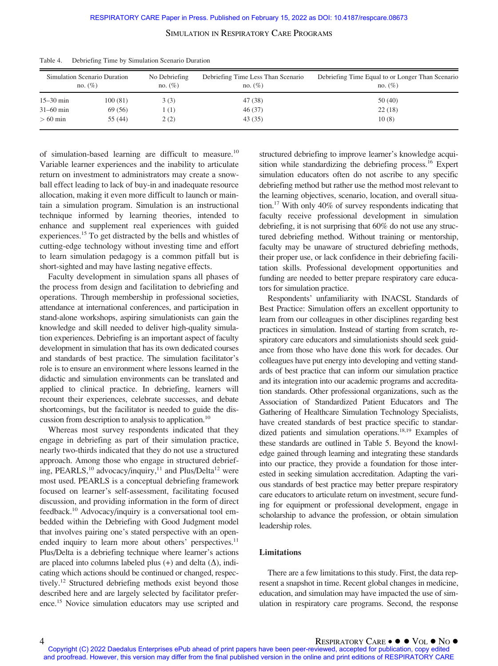|               | Simulation Scenario Duration<br>no. $(\% )$ | No Debriefing<br>no. $(\%)$ | Debriefing Time Less Than Scenario<br>no. $(\%)$ | Debriefing Time Equal to or Longer Than Scenario<br>no. $(\% )$ |
|---------------|---------------------------------------------|-----------------------------|--------------------------------------------------|-----------------------------------------------------------------|
| $15 - 30$ min | 100(81)                                     | 3(3)                        | 47 (38)                                          | 50(40)                                                          |
| $31 - 60$ min | 69 (56)                                     | 1 (1)                       | 46(37)                                           | 22(18)                                                          |
| $>60$ min     | 55 (44)                                     | 2(2)                        | 43 (35)                                          | 10(8)                                                           |

Table 4. Debriefing Time by Simulation Scenario Duration

of simulation-based learning are difficult to measure.<sup>10</sup> Variable learner experiences and the inability to articulate return on investment to administrators may create a snowball effect leading to lack of buy-in and inadequate resource allocation, making it even more difficult to launch or maintain a simulation program. Simulation is an instructional technique informed by learning theories, intended to enhance and supplement real experiences with guided experiences.<sup>15</sup> To get distracted by the bells and whistles of cutting-edge technology without investing time and effort to learn simulation pedagogy is a common pitfall but is short-sighted and may have lasting negative effects.

Faculty development in simulation spans all phases of the process from design and facilitation to debriefing and operations. Through membership in professional societies, attendance at international conferences, and participation in stand-alone workshops, aspiring simulationists can gain the knowledge and skill needed to deliver high-quality simulation experiences. Debriefing is an important aspect of faculty development in simulation that has its own dedicated courses and standards of best practice. The simulation facilitator's role is to ensure an environment where lessons learned in the didactic and simulation environments can be translated and applied to clinical practice. In debriefing, learners will recount their experiences, celebrate successes, and debate shortcomings, but the facilitator is needed to guide the discussion from description to analysis to application.<sup>10</sup>

Whereas most survey respondents indicated that they engage in debriefing as part of their simulation practice, nearly two-thirds indicated that they do not use a structured approach. Among those who engage in structured debriefing, PEARLS,<sup>10</sup> advocacy/inquiry,<sup>11</sup> and Plus/Delta<sup>12</sup> were most used. PEARLS is a conceptual debriefing framework focused on learner's self-assessment, facilitating focused discussion, and providing information in the form of direct feedback.10 Advocacy/inquiry is a conversational tool embedded within the Debriefing with Good Judgment model that involves pairing one's stated perspective with an openended inquiry to learn more about others' perspectives.<sup>11</sup> Plus/Delta is a debriefing technique where learner's actions are placed into columns labeled plus  $(+)$  and delta  $(\Delta)$ , indicating which actions should be continued or changed, respectively.12 Structured debriefing methods exist beyond those described here and are largely selected by facilitator preference.15 Novice simulation educators may use scripted and

structured debriefing to improve learner's knowledge acquisition while standardizing the debriefing process.<sup>16</sup> Expert simulation educators often do not ascribe to any specific debriefing method but rather use the method most relevant to the learning objectives, scenario, location, and overall situation.17 With only 40% of survey respondents indicating that faculty receive professional development in simulation debriefing, it is not surprising that 60% do not use any structured debriefing method. Without training or mentorship, faculty may be unaware of structured debriefing methods, their proper use, or lack confidence in their debriefing facilitation skills. Professional development opportunities and funding are needed to better prepare respiratory care educators for simulation practice.

Respondents' unfamiliarity with INACSL Standards of Best Practice: Simulation offers an excellent opportunity to learn from our colleagues in other disciplines regarding best practices in simulation. Instead of starting from scratch, respiratory care educators and simulationists should seek guidance from those who have done this work for decades. Our colleagues have put energy into developing and vetting standards of best practice that can inform our simulation practice and its integration into our academic programs and accreditation standards. Other professional organizations, such as the Association of Standardized Patient Educators and The Gathering of Healthcare Simulation Technology Specialists, have created standards of best practice specific to standardized patients and simulation operations.18,19 Examples of these standards are outlined in Table 5. Beyond the knowledge gained through learning and integrating these standards into our practice, they provide a foundation for those interested in seeking simulation accreditation. Adapting the various standards of best practice may better prepare respiratory care educators to articulate return on investment, secure funding for equipment or professional development, engage in scholarship to advance the profession, or obtain simulation leadership roles.

#### Limitations

There are a few limitations to this study. First, the data represent a snapshot in time. Recent global changes in medicine, education, and simulation may have impacted the use of simulation in respiratory care programs. Second, the response

4 RESPIRATORY CARE ● ● VOL ● No<br>Copyright (C) 2022 Daedalus Enterprises ePub ahead of print papers have been peer-reviewed, accepted for publication, copy edited and proofread. However, this version may differ from the final published version in the online and print editions of RESPIRATORY CARE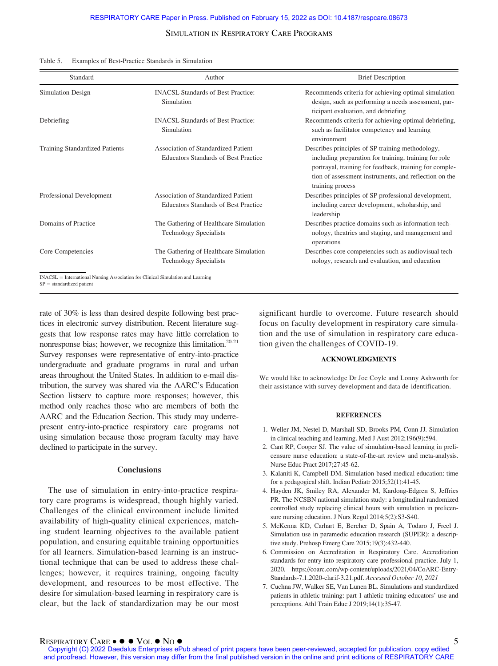| Standard                                                                                                       | Author                                                                             | <b>Brief Description</b>                                                                                                                                                                                                                         |
|----------------------------------------------------------------------------------------------------------------|------------------------------------------------------------------------------------|--------------------------------------------------------------------------------------------------------------------------------------------------------------------------------------------------------------------------------------------------|
| Simulation Design                                                                                              | <b>INACSL Standards of Best Practice:</b><br>Simulation                            | Recommends criteria for achieving optimal simulation<br>design, such as performing a needs assessment, par-<br>ticipant evaluation, and debriefing                                                                                               |
| Debriefing                                                                                                     | <b>INACSL Standards of Best Practice:</b><br>Simulation                            | Recommends criteria for achieving optimal debriefing,<br>such as facilitator competency and learning<br>environment                                                                                                                              |
| <b>Training Standardized Patients</b>                                                                          | Association of Standardized Patient<br><b>Educators Standards of Best Practice</b> | Describes principles of SP training methodology,<br>including preparation for training, training for role<br>portrayal, training for feedback, training for comple-<br>tion of assessment instruments, and reflection on the<br>training process |
| Professional Development                                                                                       | Association of Standardized Patient<br><b>Educators Standards of Best Practice</b> | Describes principles of SP professional development,<br>including career development, scholarship, and<br>leadership                                                                                                                             |
| Domains of Practice                                                                                            | The Gathering of Healthcare Simulation<br><b>Technology Specialists</b>            | Describes practice domains such as information tech-<br>nology, theatrics and staging, and management and<br>operations                                                                                                                          |
| Core Competencies                                                                                              | The Gathering of Healthcare Simulation<br><b>Technology Specialists</b>            | Describes core competencies such as audiovisual tech-<br>nology, research and evaluation, and education                                                                                                                                          |
| INACSL = International Nursing Association for Clinical Simulation and Learning<br>$SP = standardized$ patient |                                                                                    |                                                                                                                                                                                                                                                  |

#### Table 5. Examples of Best-Practice Standards in Simulation

rate of 30% is less than desired despite following best practices in electronic survey distribution. Recent literature suggests that low response rates may have little correlation to nonresponse bias; however, we recognize this limitation. $20-21$ Survey responses were representative of entry-into-practice undergraduate and graduate programs in rural and urban areas throughout the United States. In addition to e-mail distribution, the survey was shared via the AARC's Education Section listserv to capture more responses; however, this method only reaches those who are members of both the AARC and the Education Section. This study may underrepresent entry-into-practice respiratory care programs not using simulation because those program faculty may have declined to participate in the survey.

#### **Conclusions**

The use of simulation in entry-into-practice respiratory care programs is widespread, though highly varied. Challenges of the clinical environment include limited availability of high-quality clinical experiences, matching student learning objectives to the available patient population, and ensuring equitable training opportunities for all learners. Simulation-based learning is an instructional technique that can be used to address these challenges; however, it requires training, ongoing faculty development, and resources to be most effective. The desire for simulation-based learning in respiratory care is clear, but the lack of standardization may be our most

significant hurdle to overcome. Future research should focus on faculty development in respiratory care simulation and the use of simulation in respiratory care education given the challenges of COVID-19.

#### ACKNOWLEDGMENTS

We would like to acknowledge Dr Joe Coyle and Lonny Ashworth for their assistance with survey development and data de-identification.

#### **REFERENCES**

- 1. Weller JM, Nestel D, Marshall SD, Brooks PM, Conn JJ. Simulation in clinical teaching and learning. Med J Aust 2012;196(9):594.
- 2. Cant RP, Cooper SJ. The value of simulation-based learning in prelicensure nurse education: a state-of-the-art review and meta-analysis. Nurse Educ Pract 2017;27:45-62.
- 3. Kalaniti K, Campbell DM. Simulation-based medical education: time for a pedagogical shift. Indian Pediatr 2015;52(1):41-45.
- 4. Hayden JK, Smiley RA, Alexander M, Kardong-Edgren S, Jeffries PR. The NCSBN national simulation study: a longitudinal randomized controlled study replacing clinical hours with simulation in prelicensure nursing education. J Nurs Regul 2014;5(2):S3-S40.
- 5. McKenna KD, Carhart E, Bercher D, Spain A, Todaro J, Freel J. Simulation use in paramedic education research (SUPER): a descriptive study. Prehosp Emerg Care 2015;19(3):432-440.
- 6. Commission on Accreditation in Respiratory Care. Accreditation standards for entry into respiratory care professional practice. July 1, 2020. [https://coarc.com/wp-content/uploads/2021/04/CoARC-Entry-](https://coarc.com/wp-content/uploads/2021/04/CoARC-Entry-Standards-7.1.2020-clarif-3.21.pdf)[Standards-7.1.2020-clarif-3.21.pdf](https://coarc.com/wp-content/uploads/2021/04/CoARC-Entry-Standards-7.1.2020-clarif-3.21.pdf). Accessed October 10, 2021
- 7. Cuchna JW, Walker SE, Van Lunen BL. Simulations and standardized patients in athletic training: part 1 athletic training educators' use and perceptions. Athl Train Educ J 2019;14(1):35-47.

RESPIRATORY CARE ● ● ● VOL ● NO ●<br>Copyright (C) 2022 Daedalus Enterprises ePub ahead of print papers have been peer-reviewed, accepted for publication, copy edited and proofread. However, this version may differ from the final published version in the online and print editions of RESPIRATORY CARE